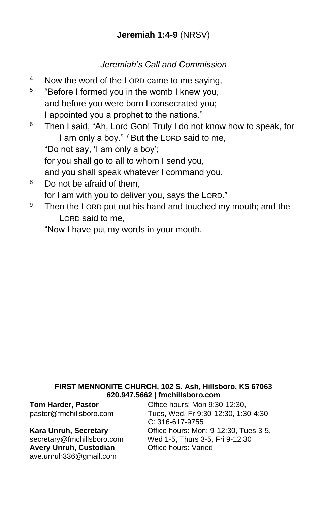## **Jeremiah 1:4-9** (NRSV)

### *Jeremiah's Call and Commission*

- <sup>4</sup> Now the word of the LORD came to me saying,
- 5 "Before I formed you in the womb I knew you, and before you were born I consecrated you; I appointed you a prophet to the nations."
- <sup>6</sup> Then I said, "Ah, Lord GOD! Truly I do not know how to speak, for I am only a boy."<sup>7</sup> But the LORD said to me, "Do not say, 'I am only a boy'; for you shall go to all to whom I send you,

and you shall speak whatever I command you.

- <sup>8</sup> Do not be afraid of them. for I am with you to deliver you, says the LORD."
- $9$  Then the LORD put out his hand and touched my mouth; and the LORD said to me,

"Now I have put my words in your mouth.

#### **FIRST MENNONITE CHURCH, 102 S. Ash, Hillsboro, KS 67063 620.947.5662 | fmchillsboro.com**

**Tom Harder, Pastor Conservery Conservery Conservery Paraders**, Pastor **Conservery Conservery Paraders** pastor@fmchillsboro.com Tues, Wed, Fr 9:30-12:30, 1:30-4:30 C: 316-617-9755 **Kara Unruh, Secretary Charace Exercise Constrainers: Mon: 9-12:30, Tues 3-5,** secretary@fmchillsboro.com Wed 1-5, Thurs 3-5, Fri 9-12:30 **Avery Unruh, Custodian Office hours: Varied** [ave.unruh336@gmail.com](mailto:ave.unruh336@gmail.com)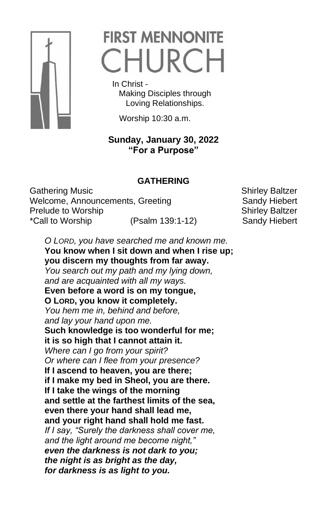

# **FIRST MENNONITE** CHURCH

 In Christ - Making Disciples through Loving Relationships.

Worship 10:30 a.m.

## **Sunday, January 30, 2022 "For a Purpose"**

## **GATHERING**

Gathering Music **Shirley Baltzer** Shirley Baltzer Welcome, Announcements, Greeting Sandy Hiebert Prelude to Worship Shirley Baltzer \*Call to Worship (Psalm 139:1-12) Sandy Hiebert

*O LORD, you have searched me and known me.*  **You know when I sit down and when I rise up; you discern my thoughts from far away.**  *You search out my path and my lying down, and are acquainted with all my ways.*  **Even before a word is on my tongue, O LORD, you know it completely.**  *You hem me in, behind and before, and lay your hand upon me.*  **Such knowledge is too wonderful for me; it is so high that I cannot attain it.**  *Where can I go from your spirit? Or where can I flee from your presence?*  **If I ascend to heaven, you are there; if I make my bed in Sheol, you are there. If I take the wings of the morning and settle at the farthest limits of the sea, even there your hand shall lead me, and your right hand shall hold me fast.**  *If I say, "Surely the darkness shall cover me, and the light around me become night," even the darkness is not dark to you; the night is as bright as the day, for darkness is as light to you.*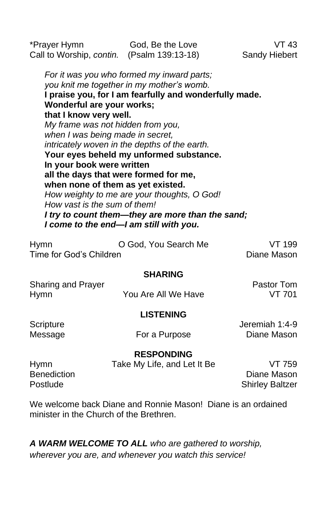\*Prayer Hymn God, Be the Love VT 43 Call to Worship, *contin.* (Psalm 139:13-18) Sandy Hiebert *For it was you who formed my inward parts; you knit me together in my mother's womb.*  **I praise you, for I am fearfully and wonderfully made. Wonderful are your works; that I know very well.**  *My frame was not hidden from you, when I was being made in secret, intricately woven in the depths of the earth.*  **Your eyes beheld my unformed substance. In your book were written all the days that were formed for me, when none of them as yet existed.**  *How weighty to me are your thoughts, O God! How vast is the sum of them! I try to count them—they are more than the sand; I come to the end—I am still with you.*

| <b>Hymn</b>             | O God, You Search Me | VT 199      |
|-------------------------|----------------------|-------------|
| Time for God's Children |                      | Diane Mason |

#### **SHARING**

| <b>Sharing and Prayer</b> |                     | <b>Pastor Tom</b> |
|---------------------------|---------------------|-------------------|
| Hymn                      | You Are All We Have | VT 701            |

#### **LISTENING**

Scripture Jeremiah 1:4-9 Message **For a Purpose** Diane Mason

#### **RESPONDING**

| <b>Hymn</b>        | Take My Life, and Let It Be | VT 759                 |
|--------------------|-----------------------------|------------------------|
| <b>Benediction</b> |                             | Diane Mason            |
| Postlude           |                             | <b>Shirley Baltzer</b> |

We welcome back Diane and Ronnie Mason! Diane is an ordained minister in the Church of the Brethren.

*A WARM WELCOME TO ALL who are gathered to worship, wherever you are, and whenever you watch this service!*